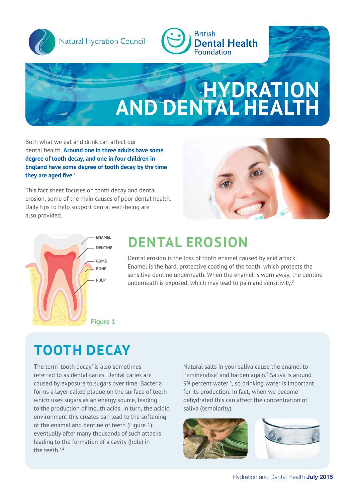

Natural Hydration Council



## **HYDRATION AND DENTAL HEALTH** Natural Hydration Council

Both what we eat and drink can affect our dental health. **Around one in three adults have some degree of tooth decay, and one in four children in England have some degree of tooth decay by the time they are aged five**. 1

This fact sheet focuses on tooth decay and dental erosion, some of the main causes of poor dental health. Daily tips to help support dental well-being are also provided.





## ENAMEL **DENTAL EROSION**

Dental erosion is the loss of tooth enamel caused by acid attack. Enamel is the hard, protective coating of the tooth, which protects the sensitive dentine underneath. When the enamel is worn away, the dentine underneath is exposed, which may lead to pain and sensitivity. $2^2$ 

# **TOOTH DECAY**

The term 'tooth decay' is also sometimes referred to as dental caries. Dental caries are caused by exposure to sugars over time. Bacteria forms a layer called plaque on the surface of teeth which uses sugars as an energy source, leading to the production of mouth acids. In turn, the acidic environment this creates can lead to the softening of the enamel and dentine of teeth (Figure 1), eventually after many thousands of such attacks leading to the formation of a cavity (hole) in the teeth.<sup>3,4</sup>

Natural salts in your saliva cause the enamel to  $'$ remineralise' and harden again. $^3$  Saliva is around 99 percent water<sup>5</sup>, so drinking water is important for its production. In fact, when we become dehydrated this can affect the concentration of saliva (osmolarity).



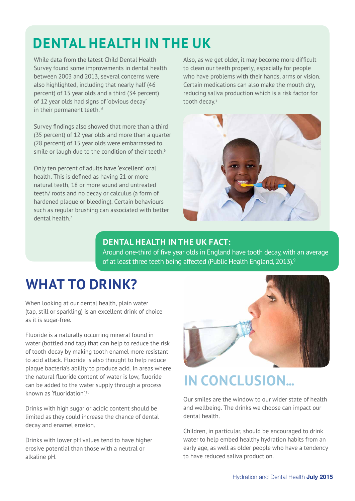# **DENTAL HEALTH IN THE UK**

While data from the latest Child Dental Health Survey found some improvements in dental health between 2003 and 2013, several concerns were also highlighted, including that nearly half (46 percent) of 15 year olds and a third (34 percent) of 12 year olds had signs of 'obvious decay' in their permanent teeth.<sup>6</sup>

Survey findings also showed that more than a third (35 percent) of 12 year olds and more than a quarter (28 percent) of 15 year olds were embarrassed to smile or laugh due to the condition of their teeth.<sup>6</sup>

Only ten percent of adults have 'excellent' oral health. This is defined as having 21 or more natural teeth, 18 or more sound and untreated teeth/ roots and no decay or calculus (a form of hardened plaque or bleeding). Certain behaviours such as regular brushing can associated with better dental health.7

Also, as we get older, it may become more difficult to clean our teeth properly, especially for people who have problems with their hands, arms or vision. Certain medications can also make the mouth dry, reducing saliva production which is a risk factor for tooth decay.<sup>8</sup>



## **DENTAL HEALTH IN THE UK FACT:**

Around one-third of five year olds in England have tooth decay, with an average of at least three teeth being affected (Public Health England, 2013).<sup>9</sup>

## **WHAT TO DRINK?**

When looking at our dental health, plain water (tap, still or sparkling) is an excellent drink of choice as it is sugar-free.

Fluoride is a naturally occurring mineral found in water (bottled and tap) that can help to reduce the risk of tooth decay by making tooth enamel more resistant to acid attack. Fluoride is also thought to help reduce plaque bacteria's ability to produce acid. In areas where the natural fluoride content of water is low, fluoride can be added to the water supply through a process known as 'fluoridation'.<sup>10</sup>

Drinks with high sugar or acidic content should be limited as they could increase the chance of dental decay and enamel erosion.

Drinks with lower pH values tend to have higher erosive potential than those with a neutral or alkaline pH.



# **IN CONCLUSION...**

Our smiles are the window to our wider state of health and wellbeing. The drinks we choose can impact our dental health.

Children, in particular, should be encouraged to drink water to help embed healthy hydration habits from an early age, as well as older people who have a tendency to have reduced saliva production.